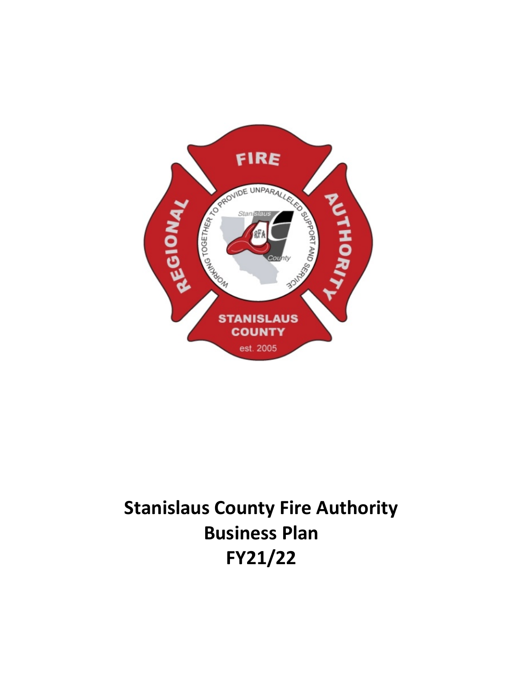

# **Stanislaus County Fire Authority Business Plan FY21/22**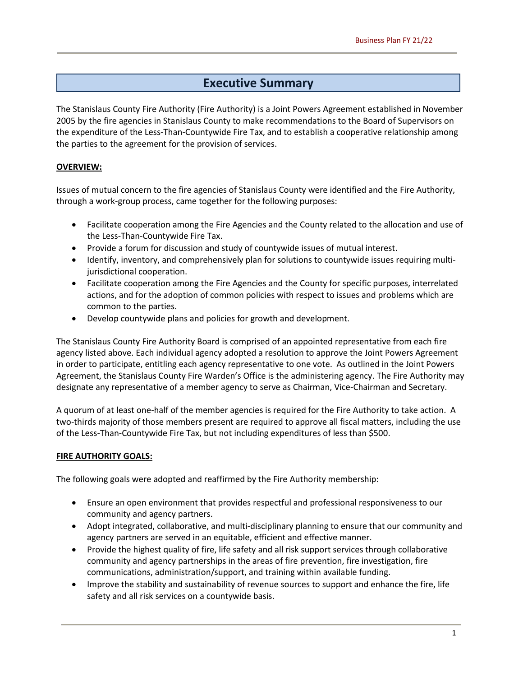## **Executive Summary**

The Stanislaus County Fire Authority (Fire Authority) is a Joint Powers Agreement established in November 2005 by the fire agencies in Stanislaus County to make recommendations to the Board of Supervisors on the expenditure of the Less-Than-Countywide Fire Tax, and to establish a cooperative relationship among the parties to the agreement for the provision of services.

#### **OVERVIEW:**

Issues of mutual concern to the fire agencies of Stanislaus County were identified and the Fire Authority, through a work-group process, came together for the following purposes:

- Facilitate cooperation among the Fire Agencies and the County related to the allocation and use of the Less-Than-Countywide Fire Tax.
- Provide a forum for discussion and study of countywide issues of mutual interest.
- Identify, inventory, and comprehensively plan for solutions to countywide issues requiring multijurisdictional cooperation.
- Facilitate cooperation among the Fire Agencies and the County for specific purposes, interrelated actions, and for the adoption of common policies with respect to issues and problems which are common to the parties.
- Develop countywide plans and policies for growth and development.

The Stanislaus County Fire Authority Board is comprised of an appointed representative from each fire agency listed above. Each individual agency adopted a resolution to approve the Joint Powers Agreement in order to participate, entitling each agency representative to one vote. As outlined in the Joint Powers Agreement, the Stanislaus County Fire Warden's Office is the administering agency. The Fire Authority may designate any representative of a member agency to serve as Chairman, Vice-Chairman and Secretary.

A quorum of at least one-half of the member agencies is required for the Fire Authority to take action. A two-thirds majority of those members present are required to approve all fiscal matters, including the use of the Less-Than-Countywide Fire Tax, but not including expenditures of less than \$500.

#### **FIRE AUTHORITY GOALS:**

The following goals were adopted and reaffirmed by the Fire Authority membership:

- Ensure an open environment that provides respectful and professional responsiveness to our community and agency partners.
- Adopt integrated, collaborative, and multi-disciplinary planning to ensure that our community and agency partners are served in an equitable, efficient and effective manner.
- Provide the highest quality of fire, life safety and all risk support services through collaborative community and agency partnerships in the areas of fire prevention, fire investigation, fire communications, administration/support, and training within available funding.
- Improve the stability and sustainability of revenue sources to support and enhance the fire, life safety and all risk services on a countywide basis.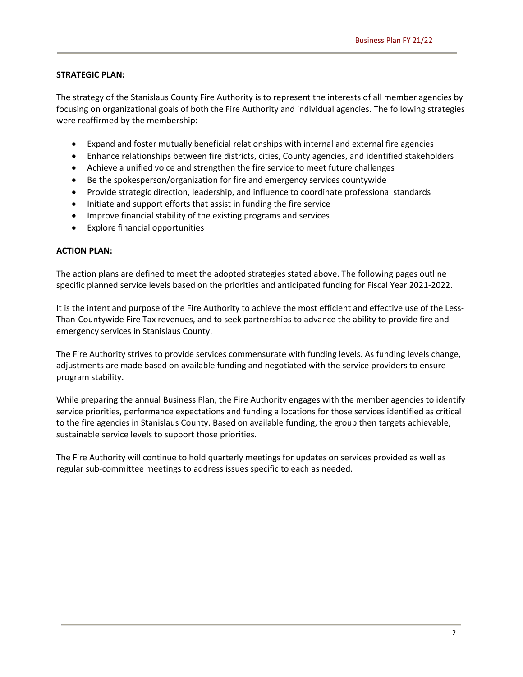#### **STRATEGIC PLAN:**

The strategy of the Stanislaus County Fire Authority is to represent the interests of all member agencies by focusing on organizational goals of both the Fire Authority and individual agencies. The following strategies were reaffirmed by the membership:

- Expand and foster mutually beneficial relationships with internal and external fire agencies
- Enhance relationships between fire districts, cities, County agencies, and identified stakeholders
- Achieve a unified voice and strengthen the fire service to meet future challenges
- Be the spokesperson/organization for fire and emergency services countywide
- Provide strategic direction, leadership, and influence to coordinate professional standards
- Initiate and support efforts that assist in funding the fire service
- Improve financial stability of the existing programs and services
- Explore financial opportunities

#### **ACTION PLAN:**

The action plans are defined to meet the adopted strategies stated above. The following pages outline specific planned service levels based on the priorities and anticipated funding for Fiscal Year 2021-2022.

It is the intent and purpose of the Fire Authority to achieve the most efficient and effective use of the Less-Than-Countywide Fire Tax revenues, and to seek partnerships to advance the ability to provide fire and emergency services in Stanislaus County.

The Fire Authority strives to provide services commensurate with funding levels. As funding levels change, adjustments are made based on available funding and negotiated with the service providers to ensure program stability.

While preparing the annual Business Plan, the Fire Authority engages with the member agencies to identify service priorities, performance expectations and funding allocations for those services identified as critical to the fire agencies in Stanislaus County. Based on available funding, the group then targets achievable, sustainable service levels to support those priorities.

The Fire Authority will continue to hold quarterly meetings for updates on services provided as well as regular sub-committee meetings to address issues specific to each as needed.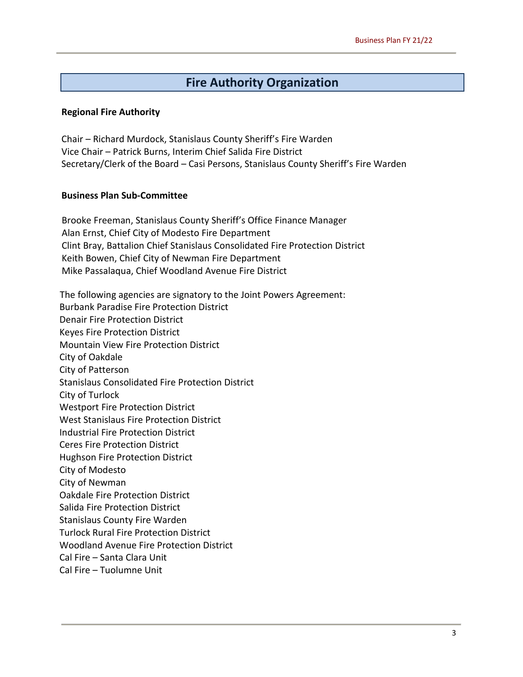## **Fire Authority Organization**

#### **Regional Fire Authority**

Chair – Richard Murdock, Stanislaus County Sheriff's Fire Warden Vice Chair – Patrick Burns, Interim Chief Salida Fire District Secretary/Clerk of the Board – Casi Persons, Stanislaus County Sheriff's Fire Warden

#### **Business Plan Sub-Committee**

Brooke Freeman, Stanislaus County Sheriff's Office Finance Manager Alan Ernst, Chief City of Modesto Fire Department Clint Bray, Battalion Chief Stanislaus Consolidated Fire Protection District Keith Bowen, Chief City of Newman Fire Department Mike Passalaqua, Chief Woodland Avenue Fire District

The following agencies are signatory to the Joint Powers Agreement: Burbank Paradise Fire Protection District Denair Fire Protection District Keyes Fire Protection District Mountain View Fire Protection District City of Oakdale City of Patterson Stanislaus Consolidated Fire Protection District City of Turlock Westport Fire Protection District West Stanislaus Fire Protection District Industrial Fire Protection District Ceres Fire Protection District Hughson Fire Protection District City of Modesto City of Newman Oakdale Fire Protection District Salida Fire Protection District Stanislaus County Fire Warden Turlock Rural Fire Protection District Woodland Avenue Fire Protection District Cal Fire – Santa Clara Unit Cal Fire – Tuolumne Unit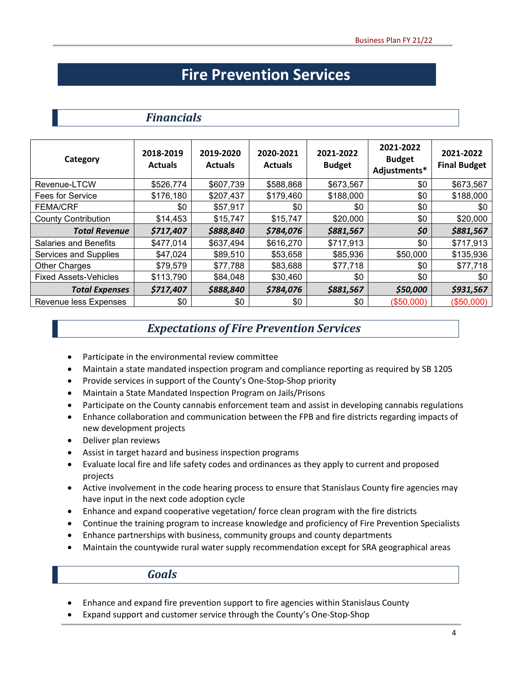## **Fire Prevention Services**

### *Financials*

| Category                     | 2018-2019<br><b>Actuals</b> | 2019-2020<br><b>Actuals</b> | 2020-2021<br><b>Actuals</b> | 2021-2022<br><b>Budget</b> | 2021-2022<br><b>Budget</b><br>Adjustments* | 2021-2022<br><b>Final Budget</b> |
|------------------------------|-----------------------------|-----------------------------|-----------------------------|----------------------------|--------------------------------------------|----------------------------------|
| Revenue-LTCW                 | \$526,774                   | \$607,739                   | \$588,868                   | \$673,567                  | \$0                                        | \$673,567                        |
| <b>Fees for Service</b>      | \$176,180                   | \$207,437                   | \$179,460                   | \$188,000                  | \$0                                        | \$188,000                        |
| <b>FEMA/CRF</b>              | \$0                         | \$57,917                    | \$0                         | \$0                        | \$0                                        | \$0                              |
| <b>County Contribution</b>   | \$14,453                    | \$15,747                    | \$15,747                    | \$20,000                   | \$0                                        | \$20,000                         |
| <b>Total Revenue</b>         | \$717,407                   | \$888,840                   | \$784,076                   | \$881,567                  | \$0                                        | \$881,567                        |
| <b>Salaries and Benefits</b> | \$477,014                   | \$637,494                   | \$616,270                   | \$717,913                  | \$0                                        | \$717,913                        |
| Services and Supplies        | \$47,024                    | \$89,510                    | \$53,658                    | \$85,936                   | \$50,000                                   | \$135,936                        |
| Other Charges                | \$79,579                    | \$77,788                    | \$83,688                    | \$77,718                   | \$0                                        | \$77,718                         |
| <b>Fixed Assets-Vehicles</b> | \$113,790                   | \$84,048                    | \$30,460                    | \$0                        | \$0                                        | \$0                              |
| <b>Total Expenses</b>        | \$717,407                   | \$888,840                   | \$784,076                   | \$881,567                  | \$50,000                                   | \$931,567                        |
| Revenue less Expenses        | \$0                         | \$0                         | \$0                         | \$0                        | (\$50,000)                                 | (\$50,000)                       |

## *Expectations of Fire Prevention Services*

- Participate in the environmental review committee
- Maintain a state mandated inspection program and compliance reporting as required by SB 1205
- Provide services in support of the County's One-Stop-Shop priority
- Maintain a State Mandated Inspection Program on Jails/Prisons
- Participate on the County cannabis enforcement team and assist in developing cannabis regulations
- Enhance collaboration and communication between the FPB and fire districts regarding impacts of new development projects
- Deliver plan reviews
- Assist in target hazard and business inspection programs
- Evaluate local fire and life safety codes and ordinances as they apply to current and proposed projects
- Active involvement in the code hearing process to ensure that Stanislaus County fire agencies may have input in the next code adoption cycle
- Enhance and expand cooperative vegetation/ force clean program with the fire districts
- Continue the training program to increase knowledge and proficiency of Fire Prevention Specialists
- Enhance partnerships with business, community groups and county departments
- Maintain the countywide rural water supply recommendation except for SRA geographical areas

*Goals*

- Enhance and expand fire prevention support to fire agencies within Stanislaus County
- Expand support and customer service through the County's One-Stop-Shop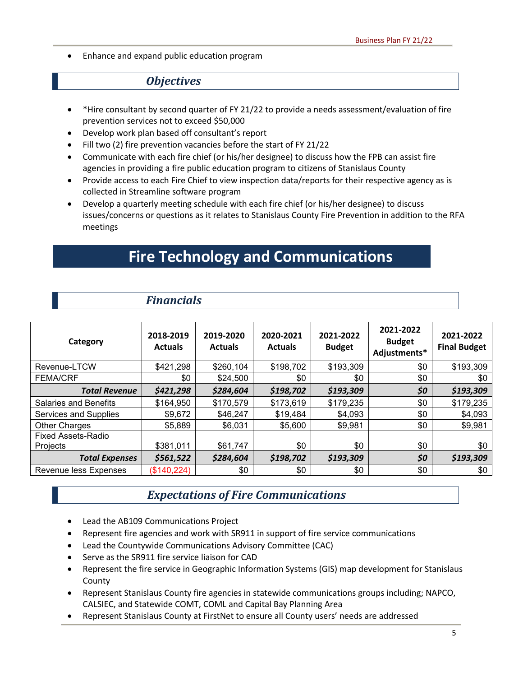• Enhance and expand public education program

## *Objectives*

- \*Hire consultant by second quarter of FY 21/22 to provide a needs assessment/evaluation of fire prevention services not to exceed \$50,000
- Develop work plan based off consultant's report

*Financials*

- Fill two (2) fire prevention vacancies before the start of FY 21/22
- Communicate with each fire chief (or his/her designee) to discuss how the FPB can assist fire agencies in providing a fire public education program to citizens of Stanislaus County
- Provide access to each Fire Chief to view inspection data/reports for their respective agency as is collected in Streamline software program
- Develop a quarterly meeting schedule with each fire chief (or his/her designee) to discuss issues/concerns or questions as it relates to Stanislaus County Fire Prevention in addition to the RFA meetings

## **Fire Technology and Communications**

| Category                     | 2018-2019<br><b>Actuals</b> | 2019-2020<br><b>Actuals</b> | 2020-2021<br><b>Actuals</b> | 2021-2022<br><b>Budget</b> | 2021-2022<br><b>Budget</b><br>Adjustments* | 2021-2022<br><b>Final Budget</b> |
|------------------------------|-----------------------------|-----------------------------|-----------------------------|----------------------------|--------------------------------------------|----------------------------------|
| Revenue-LTCW                 | \$421,298                   | \$260,104                   | \$198,702                   | \$193,309                  | \$0                                        | \$193,309                        |
| <b>FEMA/CRF</b>              | \$0                         | \$24,500                    | \$0                         | \$0                        | \$0                                        | \$0                              |
| <b>Total Revenue</b>         | \$421,298                   | \$284,604                   | \$198,702                   | \$193,309                  | \$0                                        | \$193,309                        |
| <b>Salaries and Benefits</b> | \$164,950                   | \$170,579                   | \$173,619                   | \$179,235                  | \$0                                        | \$179,235                        |
| Services and Supplies        | \$9,672                     | \$46,247                    | \$19,484                    | \$4,093                    | \$0                                        | \$4,093                          |
| <b>Other Charges</b>         | \$5,889                     | \$6,031                     | \$5,600                     | \$9,981                    | \$0                                        | \$9,981                          |
| <b>Fixed Assets-Radio</b>    |                             |                             |                             |                            |                                            |                                  |
| Projects                     | \$381,011                   | \$61,747                    | \$0                         | \$0                        | \$0                                        | \$0                              |
| <b>Total Expenses</b>        | \$561,522                   | \$284,604                   | \$198,702                   | \$193,309                  | \$0                                        | \$193,309                        |
| Revenue less Expenses        | (\$140,224)                 | \$0                         | \$0                         | \$0                        | \$0                                        | \$0                              |

## *Expectations of Fire Communications*

- Lead the AB109 Communications Project
- Represent fire agencies and work with SR911 in support of fire service communications
- Lead the Countywide Communications Advisory Committee (CAC)
- Serve as the SR911 fire service liaison for CAD
- Represent the fire service in Geographic Information Systems (GIS) map development for Stanislaus County
- Represent Stanislaus County fire agencies in statewide communications groups including; NAPCO, CALSIEC, and Statewide COMT, COML and Capital Bay Planning Area
- Represent Stanislaus County at FirstNet to ensure all County users' needs are addressed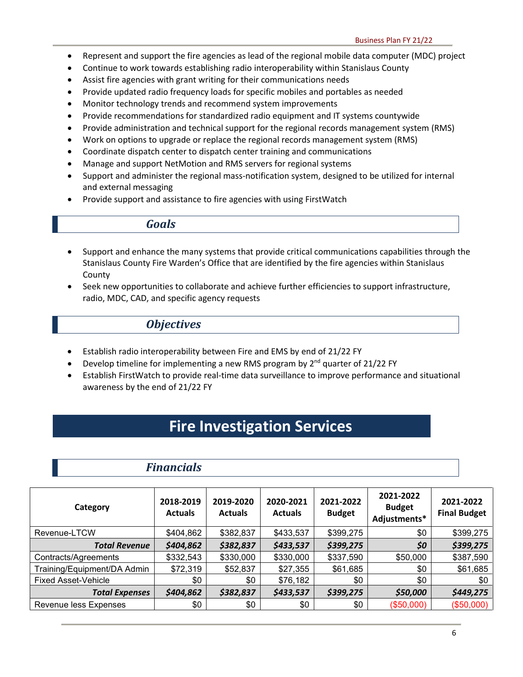- Represent and support the fire agencies as lead of the regional mobile data computer (MDC) project
- Continue to work towards establishing radio interoperability within Stanislaus County
- Assist fire agencies with grant writing for their communications needs
- Provide updated radio frequency loads for specific mobiles and portables as needed
- Monitor technology trends and recommend system improvements
- Provide recommendations for standardized radio equipment and IT systems countywide
- Provide administration and technical support for the regional records management system (RMS)
- Work on options to upgrade or replace the regional records management system (RMS)
- Coordinate dispatch center to dispatch center training and communications
- Manage and support NetMotion and RMS servers for regional systems
- Support and administer the regional mass-notification system, designed to be utilized for internal and external messaging
- Provide support and assistance to fire agencies with using FirstWatch

#### *Goals*

- Support and enhance the many systems that provide critical communications capabilities through the Stanislaus County Fire Warden's Office that are identified by the fire agencies within Stanislaus County
- Seek new opportunities to collaborate and achieve further efficiencies to support infrastructure, radio, MDC, CAD, and specific agency requests

#### *Objectives*

- Establish radio interoperability between Fire and EMS by end of 21/22 FY
- Develop timeline for implementing a new RMS program by  $2^{nd}$  quarter of 21/22 FY
- Establish FirstWatch to provide real-time data surveillance to improve performance and situational awareness by the end of 21/22 FY

## **Fire Investigation Services**

### *Financials*

| Category                    | 2018-2019<br><b>Actuals</b> | 2019-2020<br><b>Actuals</b> | 2020-2021<br><b>Actuals</b> | 2021-2022<br><b>Budget</b> | 2021-2022<br><b>Budget</b><br>Adjustments* | 2021-2022<br><b>Final Budget</b> |
|-----------------------------|-----------------------------|-----------------------------|-----------------------------|----------------------------|--------------------------------------------|----------------------------------|
| Revenue-LTCW                | \$404,862                   | \$382,837                   | \$433,537                   | \$399,275                  | \$0                                        | \$399,275                        |
| <b>Total Revenue</b>        | \$404,862                   | \$382,837                   | \$433,537                   | \$399,275                  | \$0                                        | \$399,275                        |
| Contracts/Agreements        | \$332,543                   | \$330,000                   | \$330,000                   | \$337,590                  | \$50,000                                   | \$387,590                        |
| Training/Equipment/DA Admin | \$72,319                    | \$52,837                    | \$27,355                    | \$61,685                   | \$0                                        | \$61,685                         |
| <b>Fixed Asset-Vehicle</b>  | \$0                         | \$0                         | \$76,182                    | \$0                        | \$0                                        | \$0                              |
| <b>Total Expenses</b>       | \$404,862                   | \$382,837                   | \$433,537                   | \$399,275                  | \$50,000                                   | \$449,275                        |
| Revenue less Expenses       | \$0                         | \$0                         | \$0                         | \$0                        | (\$50,000)                                 | (\$50,000)                       |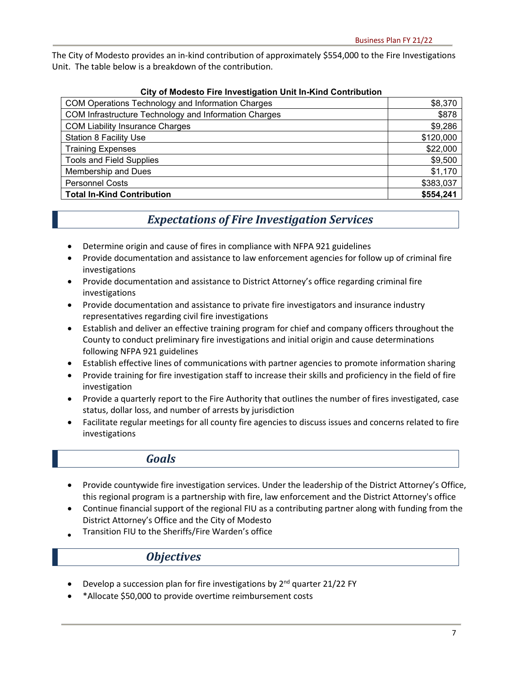The City of Modesto provides an in-kind contribution of approximately \$554,000 to the Fire Investigations Unit. The table below is a breakdown of the contribution.

| <u>UR U MUUGSLU HIGHIVGSUYAHUI UMKIN-KIIN UUMHUUUUN</u> |           |  |  |  |  |
|---------------------------------------------------------|-----------|--|--|--|--|
| COM Operations Technology and Information Charges       | \$8,370   |  |  |  |  |
| COM Infrastructure Technology and Information Charges   | \$878     |  |  |  |  |
| <b>COM Liability Insurance Charges</b>                  | \$9,286   |  |  |  |  |
| <b>Station 8 Facility Use</b>                           | \$120,000 |  |  |  |  |
| <b>Training Expenses</b>                                | \$22,000  |  |  |  |  |
| <b>Tools and Field Supplies</b>                         | \$9,500   |  |  |  |  |
| Membership and Dues                                     | \$1,170   |  |  |  |  |
| <b>Personnel Costs</b>                                  | \$383,037 |  |  |  |  |
| <b>Total In-Kind Contribution</b>                       | \$554,241 |  |  |  |  |

#### **City of Modesto Fire Investigation Unit In-Kind Contribution**

## *Expectations of Fire Investigation Services*

- Determine origin and cause of fires in compliance with NFPA 921 guidelines
- Provide documentation and assistance to law enforcement agencies for follow up of criminal fire investigations
- Provide documentation and assistance to District Attorney's office regarding criminal fire investigations
- Provide documentation and assistance to private fire investigators and insurance industry representatives regarding civil fire investigations
- Establish and deliver an effective training program for chief and company officers throughout the County to conduct preliminary fire investigations and initial origin and cause determinations following NFPA 921 guidelines
- Establish effective lines of communications with partner agencies to promote information sharing
- Provide training for fire investigation staff to increase their skills and proficiency in the field of fire investigation
- Provide a quarterly report to the Fire Authority that outlines the number of fires investigated, case status, dollar loss, and number of arrests by jurisdiction
- Facilitate regular meetings for all county fire agencies to discuss issues and concerns related to fire investigations

#### *Goals*

- Provide countywide fire investigation services. Under the leadership of the District Attorney's Office, this regional program is a partnership with fire, law enforcement and the District Attorney's office
- Continue financial support of the regional FIU as a contributing partner along with funding from the District Attorney's Office and the City of Modesto
- Transition FIU to the Sheriffs/Fire Warden's office

#### *Objectives*

- Develop a succession plan for fire investigations by  $2^{nd}$  quarter 21/22 FY
- \*Allocate \$50,000 to provide overtime reimbursement costs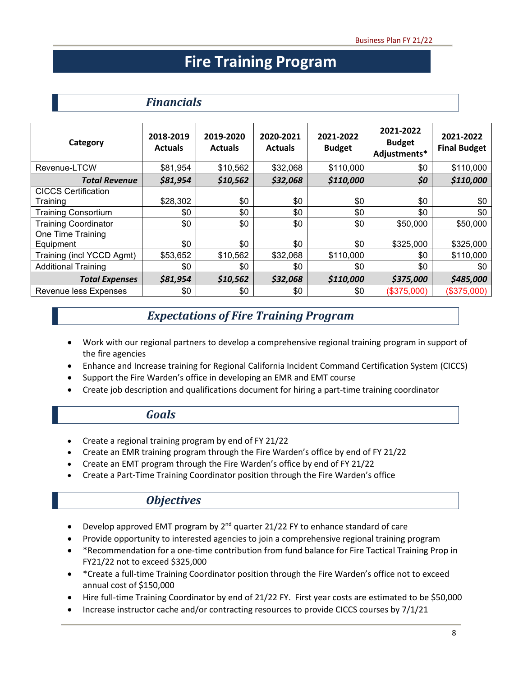## **Fire Training Program**

## *Financials*

| Category                               | 2018-2019<br><b>Actuals</b> | 2019-2020<br><b>Actuals</b> | 2020-2021<br><b>Actuals</b> | 2021-2022<br><b>Budget</b> | 2021-2022<br><b>Budget</b><br>Adjustments* | 2021-2022<br><b>Final Budget</b> |
|----------------------------------------|-----------------------------|-----------------------------|-----------------------------|----------------------------|--------------------------------------------|----------------------------------|
| Revenue-LTCW                           | \$81,954                    | \$10,562                    | \$32,068                    | \$110,000                  | \$0                                        | \$110,000                        |
| <b>Total Revenue</b>                   | \$81,954                    | \$10,562                    | \$32,068                    | \$110,000                  | \$0                                        | \$110,000                        |
| <b>CICCS Certification</b><br>Training | \$28,302                    | \$0                         | \$0                         | \$0                        | \$0                                        | \$0                              |
| <b>Training Consortium</b>             | \$0                         | \$0                         | \$0                         | \$0                        | \$0                                        | \$0                              |
| <b>Training Coordinator</b>            | \$0                         | \$0                         | \$0                         | \$0                        | \$50,000                                   | \$50,000                         |
| One Time Training                      |                             |                             |                             |                            |                                            |                                  |
| Equipment                              | \$0                         | \$0                         | \$0                         | \$0                        | \$325,000                                  | \$325,000                        |
| Training (incl YCCD Agmt)              | \$53,652                    | \$10,562                    | \$32,068                    | \$110,000                  | \$0                                        | \$110,000                        |
| <b>Additional Training</b>             | \$0                         | \$0                         | \$0                         | \$0                        | \$0                                        | \$0                              |
| <b>Total Expenses</b>                  | \$81,954                    | \$10,562                    | \$32,068                    | \$110,000                  | \$375,000                                  | \$485,000                        |
| Revenue less Expenses                  | \$0                         | \$0                         | \$0                         | \$0                        | (\$375,000)                                | (\$375,000)                      |

### *Expectations of Fire Training Program*

- Work with our regional partners to develop a comprehensive regional training program in support of the fire agencies
- Enhance and Increase training for Regional California Incident Command Certification System (CICCS)
- Support the Fire Warden's office in developing an EMR and EMT course
- Create job description and qualifications document for hiring a part-time training coordinator

#### *Goals*

- Create a regional training program by end of FY 21/22
- Create an EMR training program through the Fire Warden's office by end of FY 21/22
- Create an EMT program through the Fire Warden's office by end of FY 21/22
- Create a Part-Time Training Coordinator position through the Fire Warden's office

### *Objectives*

- Develop approved EMT program by  $2^{nd}$  quarter 21/22 FY to enhance standard of care
- Provide opportunity to interested agencies to join a comprehensive regional training program
- \*Recommendation for a one-time contribution from fund balance for Fire Tactical Training Prop in FY21/22 not to exceed \$325,000
- \*Create a full-time Training Coordinator position through the Fire Warden's office not to exceed annual cost of \$150,000
- Hire full-time Training Coordinator by end of 21/22 FY. First year costs are estimated to be \$50,000
- Increase instructor cache and/or contracting resources to provide CICCS courses by 7/1/21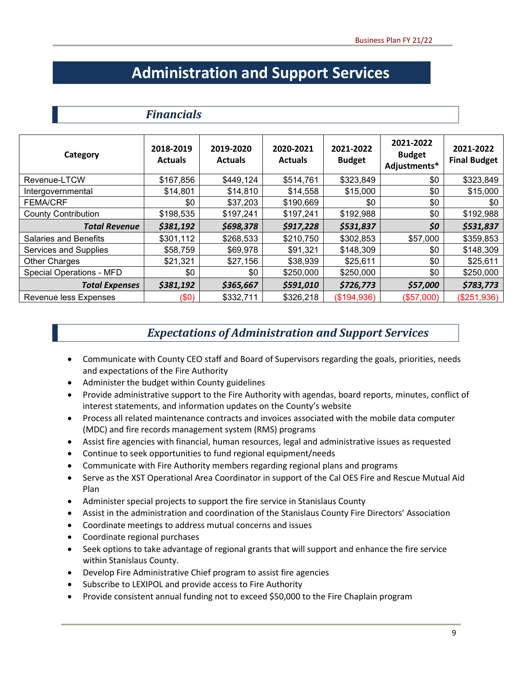## **Administration and Support Services**

## *Financials*

| Category                        | 2018-2019<br><b>Actuals</b> | 2019-2020<br><b>Actuals</b> | 2020-2021<br><b>Actuals</b> | 2021-2022<br><b>Budget</b> | 2021-2022<br><b>Budget</b><br>Adjustments* | 2021-2022<br><b>Final Budget</b> |
|---------------------------------|-----------------------------|-----------------------------|-----------------------------|----------------------------|--------------------------------------------|----------------------------------|
| Revenue-LTCW                    | \$167,856                   | \$449,124                   | \$514,761                   | \$323,849                  | \$0                                        | \$323,849                        |
| Intergovernmental               | \$14,801                    | \$14,810                    | \$14,558                    | \$15,000                   | \$0                                        | \$15,000                         |
| <b>FEMA/CRF</b>                 | \$0                         | \$37,203                    | \$190,669                   | \$0                        | \$0                                        | \$0                              |
| <b>County Contribution</b>      | \$198,535                   | \$197,241                   | \$197,241                   | \$192,988                  | \$0                                        | \$192,988                        |
| <b>Total Revenue</b>            | \$381,192                   | \$698,378                   | \$917,228                   | \$531,837                  | \$0                                        | \$531,837                        |
| <b>Salaries and Benefits</b>    | \$301,112                   | \$268,533                   | \$210,750                   | \$302,853                  | \$57,000                                   | \$359,853                        |
| Services and Supplies           | \$58,759                    | \$69,978                    | \$91,321                    | \$148,309                  | \$0                                        | \$148,309                        |
| Other Charges                   | \$21,321                    | \$27,156                    | \$38,939                    | \$25,611                   | \$0                                        | \$25,611                         |
| <b>Special Operations - MFD</b> | \$0                         | \$0                         | \$250,000                   | \$250,000                  | \$0                                        | \$250,000                        |
| <b>Total Expenses</b>           | \$381,192                   | \$365,667                   | \$591,010                   | \$726,773                  | \$57,000                                   | \$783,773                        |
| Revenue less Expenses           | (\$0)                       | \$332,711                   | \$326,218                   | (\$194,936)                | (\$57,000)                                 | (\$251,936)                      |

## *Expectations of Administration and Support Services*

- Communicate with County CEO staff and Board of Supervisors regarding the goals, priorities, needs and expectations of the Fire Authority
- Administer the budget within County guidelines
- Provide administrative support to the Fire Authority with agendas, board reports, minutes, conflict of interest statements, and information updates on the County's website
- Process all related maintenance contracts and invoices associated with the mobile data computer (MDC) and fire records management system (RMS) programs
- Assist fire agencies with financial, human resources, legal and administrative issues as requested
- Continue to seek opportunities to fund regional equipment/needs
- Communicate with Fire Authority members regarding regional plans and programs
- Serve as the XST Operational Area Coordinator in support of the Cal OES Fire and Rescue Mutual Aid Plan
- Administer special projects to support the fire service in Stanislaus County
- Assist in the administration and coordination of the Stanislaus County Fire Directors' Association
- Coordinate meetings to address mutual concerns and issues
- Coordinate regional purchases
- Seek options to take advantage of regional grants that will support and enhance the fire service within Stanislaus County.
- Develop Fire Administrative Chief program to assist fire agencies
- Subscribe to LEXIPOL and provide access to Fire Authority
- Provide consistent annual funding not to exceed \$50,000 to the Fire Chaplain program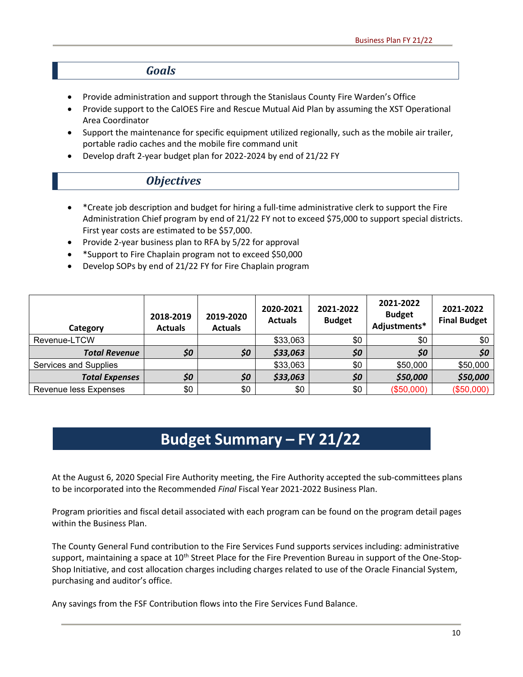#### *Goals*

- Provide administration and support through the Stanislaus County Fire Warden's Office
- Provide support to the CalOES Fire and Rescue Mutual Aid Plan by assuming the XST Operational Area Coordinator
- Support the maintenance for specific equipment utilized regionally, such as the mobile air trailer, portable radio caches and the mobile fire command unit
- Develop draft 2-year budget plan for 2022-2024 by end of 21/22 FY

#### *Objectives*

- \*Create job description and budget for hiring a full-time administrative clerk to support the Fire Administration Chief program by end of 21/22 FY not to exceed \$75,000 to support special districts. First year costs are estimated to be \$57,000.
- Provide 2-year business plan to RFA by 5/22 for approval
- \*Support to Fire Chaplain program not to exceed \$50,000
- Develop SOPs by end of 21/22 FY for Fire Chaplain program

| Category              | 2018-2019<br><b>Actuals</b> | 2019-2020<br><b>Actuals</b> | 2020-2021<br><b>Actuals</b> | 2021-2022<br><b>Budget</b> | 2021-2022<br><b>Budget</b><br>Adjustments* | 2021-2022<br><b>Final Budget</b> |
|-----------------------|-----------------------------|-----------------------------|-----------------------------|----------------------------|--------------------------------------------|----------------------------------|
| Revenue-LTCW          |                             |                             | \$33,063                    | \$0                        | \$0                                        | \$0                              |
| <b>Total Revenue</b>  | \$0                         | \$0                         | \$33,063                    | \$0                        | \$0                                        | \$0                              |
| Services and Supplies |                             |                             | \$33,063                    | \$0                        | \$50,000                                   | \$50,000                         |
| <b>Total Expenses</b> | \$0                         | \$0                         | \$33,063                    | \$0                        | \$50,000                                   | \$50,000                         |
| Revenue less Expenses | \$0                         | \$0                         | \$0                         | \$0                        | (\$50,000)                                 | (\$50,000)                       |

## **Budget Summary – FY 21/22**

At the August 6, 2020 Special Fire Authority meeting, the Fire Authority accepted the sub-committees plans to be incorporated into the Recommended *Final* Fiscal Year 2021-2022 Business Plan.

Program priorities and fiscal detail associated with each program can be found on the program detail pages within the Business Plan.

The County General Fund contribution to the Fire Services Fund supports services including: administrative support, maintaining a space at  $10^{th}$  Street Place for the Fire Prevention Bureau in support of the One-Stop-Shop Initiative, and cost allocation charges including charges related to use of the Oracle Financial System, purchasing and auditor's office.

Any savings from the FSF Contribution flows into the Fire Services Fund Balance.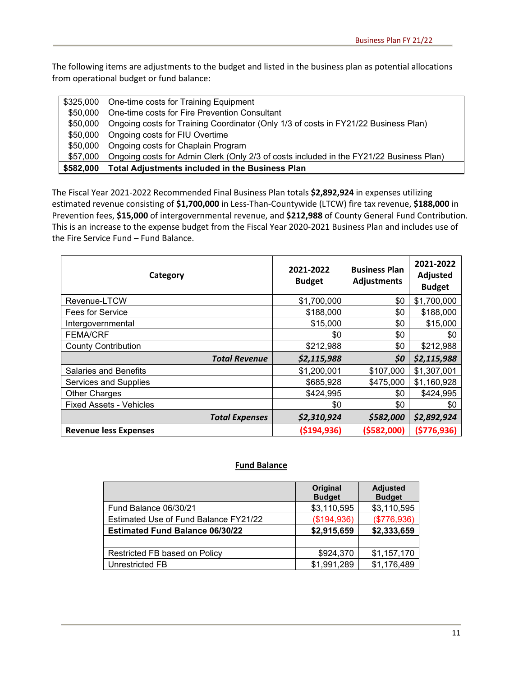The following items are adjustments to the budget and listed in the business plan as potential allocations from operational budget or fund balance:

|          | \$325,000 One-time costs for Training Equipment                                         |
|----------|-----------------------------------------------------------------------------------------|
| \$50.000 | One-time costs for Fire Prevention Consultant                                           |
| \$50.000 | Ongoing costs for Training Coordinator (Only 1/3 of costs in FY21/22 Business Plan)     |
|          | \$50,000 Ongoing costs for FIU Overtime                                                 |
|          | \$50,000 Ongoing costs for Chaplain Program                                             |
| \$57.000 | Ongoing costs for Admin Clerk (Only 2/3 of costs included in the FY21/22 Business Plan) |
|          | \$582,000 Total Adjustments included in the Business Plan                               |

The Fiscal Year 2021-2022 Recommended Final Business Plan totals **\$2,892,924** in expenses utilizing estimated revenue consisting of **\$1,700,000** in Less-Than-Countywide (LTCW) fire tax revenue, **\$188,000** in Prevention fees, **\$15,000** of intergovernmental revenue, and **\$212,988** of County General Fund Contribution. This is an increase to the expense budget from the Fiscal Year 2020-2021 Business Plan and includes use of the Fire Service Fund – Fund Balance.

| Category                       | 2021-2022<br><b>Budget</b> | <b>Business Plan</b><br><b>Adjustments</b> | 2021-2022<br>Adjusted<br><b>Budget</b> |
|--------------------------------|----------------------------|--------------------------------------------|----------------------------------------|
| Revenue-LTCW                   | \$1,700,000                | \$0                                        | \$1,700,000                            |
| Fees for Service               | \$188,000                  | \$0                                        | \$188,000                              |
| Intergovernmental              | \$15,000                   | \$0                                        | \$15,000                               |
| <b>FEMA/CRF</b>                | \$0                        | \$0                                        | \$0                                    |
| <b>County Contribution</b>     | \$212,988                  | \$0                                        | \$212,988                              |
| <b>Total Revenue</b>           | \$2,115,988                | \$0                                        | \$2,115,988                            |
| <b>Salaries and Benefits</b>   | \$1,200,001                | \$107,000                                  | \$1,307,001                            |
| Services and Supplies          | \$685,928                  | \$475,000                                  | \$1,160,928                            |
| <b>Other Charges</b>           | \$424,995                  | \$0                                        | \$424,995                              |
| <b>Fixed Assets - Vehicles</b> | \$0                        | \$0                                        | \$0                                    |
| <b>Total Expenses</b>          | \$2,310,924                | \$582,000                                  | \$2,892,924                            |
| <b>Revenue less Expenses</b>   | ( \$194, 936)              | (\$582,000)                                | ( \$776, 936)                          |

#### **Fund Balance**

|                                        | <b>Original</b><br><b>Budget</b> | <b>Adjusted</b><br><b>Budget</b> |
|----------------------------------------|----------------------------------|----------------------------------|
| Fund Balance 06/30/21                  | \$3,110,595                      | \$3,110,595                      |
| Estimated Use of Fund Balance FY21/22  | (\$194,936)                      | (\$776,936)                      |
| <b>Estimated Fund Balance 06/30/22</b> | \$2,915,659                      | \$2,333,659                      |
|                                        |                                  |                                  |
| Restricted FB based on Policy          | \$924,370                        | \$1,157,170                      |
| Unrestricted FB                        | \$1,991,289                      | \$1,176,489                      |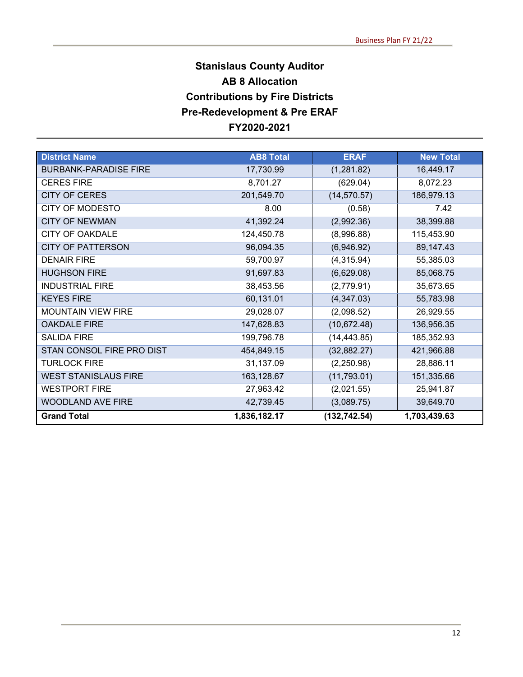## **Stanislaus County Auditor AB 8 Allocation Contributions by Fire Districts Pre-Redevelopment & Pre ERAF FY2020-2021**

| <b>District Name</b>         | <b>AB8 Total</b> | <b>ERAF</b>   | <b>New Total</b> |
|------------------------------|------------------|---------------|------------------|
| <b>BURBANK-PARADISE FIRE</b> | 17,730.99        | (1,281.82)    | 16,449.17        |
| <b>CERES FIRE</b>            | 8,701.27         | (629.04)      | 8,072.23         |
| <b>CITY OF CERES</b>         | 201,549.70       | (14, 570.57)  | 186,979.13       |
| <b>CITY OF MODESTO</b>       | 8.00             | (0.58)        | 7.42             |
| <b>CITY OF NEWMAN</b>        | 41,392.24        | (2,992.36)    | 38,399.88        |
| <b>CITY OF OAKDALE</b>       | 124,450.78       | (8,996.88)    | 115,453.90       |
| <b>CITY OF PATTERSON</b>     | 96,094.35        | (6,946.92)    | 89,147.43        |
| <b>DENAIR FIRE</b>           | 59,700.97        | (4,315.94)    | 55,385.03        |
| <b>HUGHSON FIRE</b>          | 91,697.83        | (6,629.08)    | 85,068.75        |
| <b>INDUSTRIAL FIRE</b>       | 38,453.56        | (2,779.91)    | 35,673.65        |
| <b>KEYES FIRE</b>            | 60,131.01        | (4,347.03)    | 55,783.98        |
| <b>MOUNTAIN VIEW FIRE</b>    | 29,028.07        | (2,098.52)    | 26,929.55        |
| <b>OAKDALE FIRE</b>          | 147,628.83       | (10, 672.48)  | 136,956.35       |
| <b>SALIDA FIRE</b>           | 199,796.78       | (14, 443.85)  | 185,352.93       |
| STAN CONSOL FIRE PRO DIST    | 454,849.15       | (32, 882.27)  | 421,966.88       |
| <b>TURLOCK FIRE</b>          | 31,137.09        | (2,250.98)    | 28,886.11        |
| <b>WEST STANISLAUS FIRE</b>  | 163,128.67       | (11, 793.01)  | 151,335.66       |
| <b>WESTPORT FIRE</b>         | 27,963.42        | (2,021.55)    | 25,941.87        |
| <b>WOODLAND AVE FIRE</b>     | 42,739.45        | (3,089.75)    | 39,649.70        |
| <b>Grand Total</b>           | 1,836,182.17     | (132, 742.54) | 1,703,439.63     |